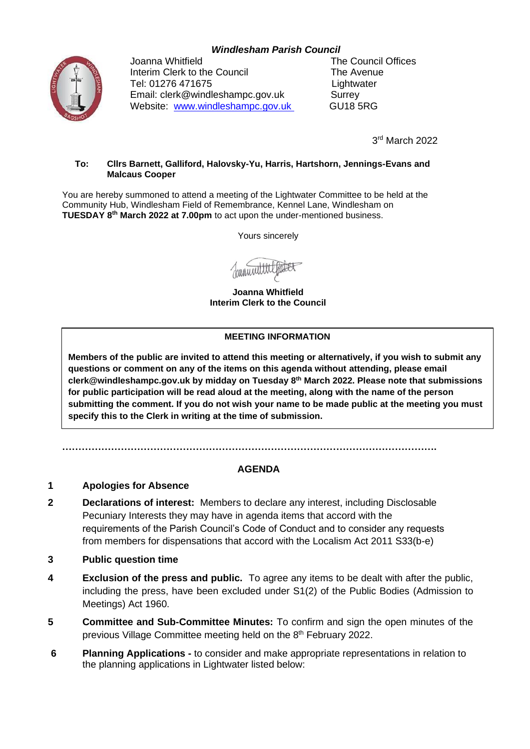# *Windlesham Parish Council*



Joanna Whitfield The Council Offices Interim Clerk to the Council The Avenue Tel: 01276 471675 Lightwater Email: clerk@windleshampc.gov.uk Surrey Website: [www.windleshampc.gov.uk](http://www.windleshampc.gov.uk/) GU18 5RG

3 rd March 2022

#### **To: Cllrs Barnett, Galliford, Halovsky-Yu, Harris, Hartshorn, Jennings-Evans and Malcaus Cooper**

You are hereby summoned to attend a meeting of the Lightwater Committee to be held at the Community Hub, Windlesham Field of Remembrance, Kennel Lane, Windlesham on **TUESDAY 8 th March 2022 at 7.00pm** to act upon the under-mentioned business.

Yours sincerely

**Joanna Whitfield Interim Clerk to the Council**

### **MEETING INFORMATION**

**Members of the public are invited to attend this meeting or alternatively, if you wish to submit any questions or comment on any of the items on this agenda without attending, please email clerk@windleshampc.gov.uk by midday on Tuesday 8 th March 2022. Please note that submissions for public participation will be read aloud at the meeting, along with the name of the person submitting the comment. If you do not wish your name to be made public at the meeting you must specify this to the Clerk in writing at the time of submission.**

**…………………………………………………………………………………………………….**

## **AGENDA**

## **1 Apologies for Absence**

- **2 Declarations of interest:** Members to declare any interest, including Disclosable Pecuniary Interests they may have in agenda items that accord with the requirements of the Parish Council's Code of Conduct and to consider any requests from members for dispensations that accord with the Localism Act 2011 S33(b-e)
- **3 Public question time**
- **4 Exclusion of the press and public.** To agree any items to be dealt with after the public, including the press, have been excluded under S1(2) of the Public Bodies (Admission to Meetings) Act 1960.
- **5 Committee and Sub-Committee Minutes:** To confirm and sign the open minutes of the previous Village Committee meeting held on the 8<sup>th</sup> February 2022.
- **6 Planning Applications -** to consider and make appropriate representations in relation to the planning applications in Lightwater listed below: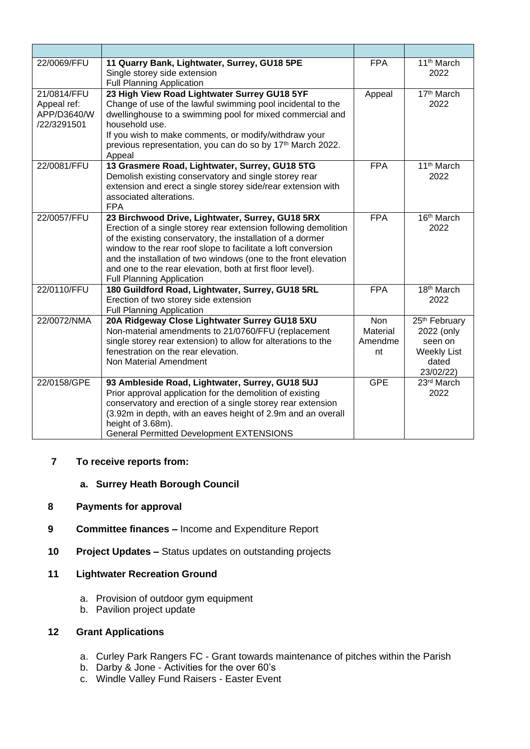| 22/0069/FFU                                              | 11 Quarry Bank, Lightwater, Surrey, GU18 5PE<br>Single storey side extension<br><b>Full Planning Application</b>                                                                                                                                                                                                                                                                                                        | <b>FPA</b>                       | 11 <sup>th</sup> March<br>2022                                                                 |
|----------------------------------------------------------|-------------------------------------------------------------------------------------------------------------------------------------------------------------------------------------------------------------------------------------------------------------------------------------------------------------------------------------------------------------------------------------------------------------------------|----------------------------------|------------------------------------------------------------------------------------------------|
| 21/0814/FFU<br>Appeal ref:<br>APP/D3640/W<br>/22/3291501 | 23 High View Road Lightwater Surrey GU18 5YF<br>Change of use of the lawful swimming pool incidental to the<br>dwellinghouse to a swimming pool for mixed commercial and<br>household use.<br>If you wish to make comments, or modify/withdraw your<br>previous representation, you can do so by 17 <sup>th</sup> March 2022.<br>Appeal                                                                                 | Appeal                           | 17th March<br>2022                                                                             |
| 22/0081/FFU                                              | 13 Grasmere Road, Lightwater, Surrey, GU18 5TG<br>Demolish existing conservatory and single storey rear<br>extension and erect a single storey side/rear extension with<br>associated alterations.<br><b>FPA</b>                                                                                                                                                                                                        | <b>FPA</b>                       | 11 <sup>th</sup> March<br>2022                                                                 |
| 22/0057/FFU                                              | 23 Birchwood Drive, Lightwater, Surrey, GU18 5RX<br>Erection of a single storey rear extension following demolition<br>of the existing conservatory, the installation of a dormer<br>window to the rear roof slope to facilitate a loft conversion<br>and the installation of two windows (one to the front elevation<br>and one to the rear elevation, both at first floor level).<br><b>Full Planning Application</b> | <b>FPA</b>                       | 16 <sup>th</sup> March<br>2022                                                                 |
| 22/0110/FFU                                              | 180 Guildford Road, Lightwater, Surrey, GU18 5RL<br>Erection of two storey side extension<br><b>Full Planning Application</b>                                                                                                                                                                                                                                                                                           | <b>FPA</b>                       | 18 <sup>th</sup> March<br>2022                                                                 |
| 22/0072/NMA                                              | 20A Ridgeway Close Lightwater Surrey GU18 5XU<br>Non-material amendments to 21/0760/FFU (replacement<br>single storey rear extension) to allow for alterations to the<br>fenestration on the rear elevation.<br>Non Material Amendment                                                                                                                                                                                  | Non<br>Material<br>Amendme<br>nt | 25 <sup>th</sup> February<br>2022 (only<br>seen on<br><b>Weekly List</b><br>dated<br>23/02/22) |
| 22/0158/GPE                                              | 93 Ambleside Road, Lightwater, Surrey, GU18 5UJ<br>Prior approval application for the demolition of existing<br>conservatory and erection of a single storey rear extension<br>(3.92m in depth, with an eaves height of 2.9m and an overall<br>height of 3.68m).<br><b>General Permitted Development EXTENSIONS</b>                                                                                                     | <b>GPE</b>                       | 23rd March<br>2022                                                                             |

# **7 To receive reports from:**

# **a. Surrey Heath Borough Council**

### **8 Payments for approval**

- **9 Committee finances –** Income and Expenditure Report
- **10 Project Updates –** Status updates on outstanding projects

# **11 Lightwater Recreation Ground**

- a. Provision of outdoor gym equipment
- b. Pavilion project update

# **12 Grant Applications**

- a. Curley Park Rangers FC Grant towards maintenance of pitches within the Parish
- b. Darby & Jone Activities for the over 60's
- c. Windle Valley Fund Raisers Easter Event